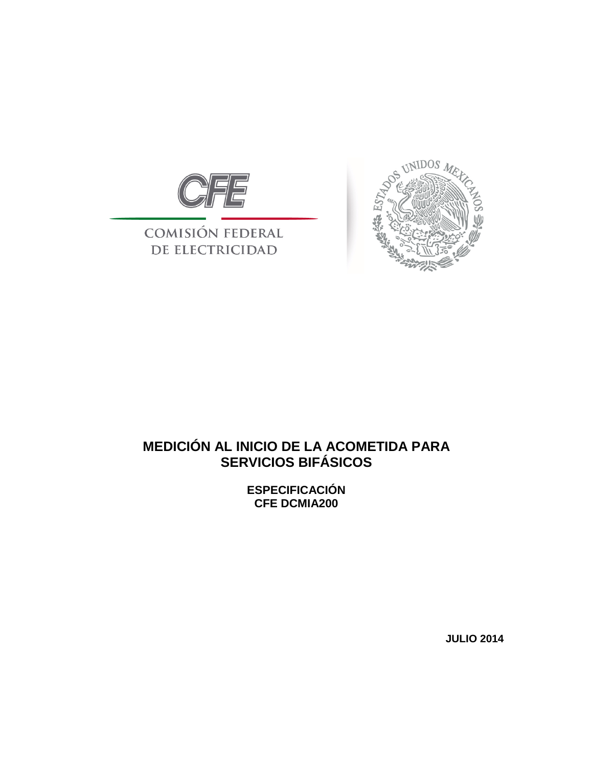

## **COMISIÓN FEDERAL** DE ELECTRICIDAD



# **MEDICIÓN AL INICIO DE LA ACOMETIDA PARA SERVICIOS BIFÁSICOS**

**ESPECIFICACIÓN CFE DCMIA200**

**JULIO 2014**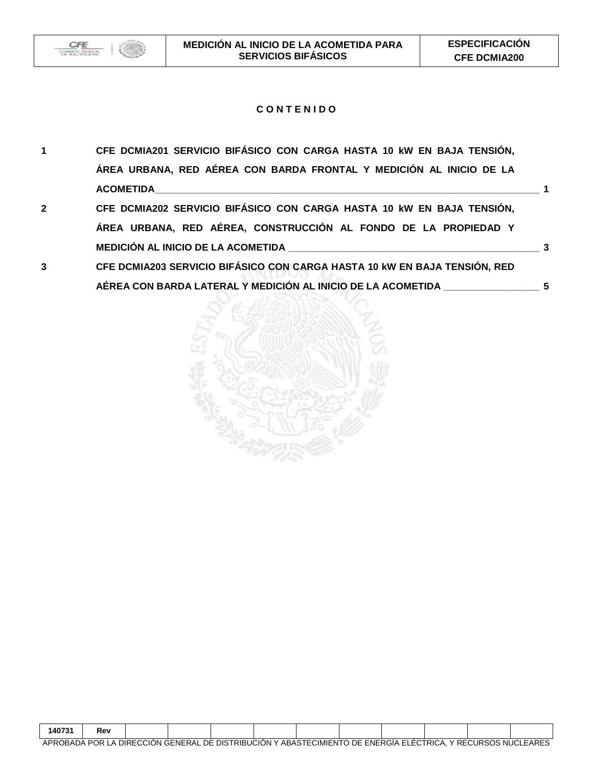

### **C O N T E N I D O**

| $1 \quad \blacksquare$ | CFE DCMIA201 SERVICIO BIFÁSICO CON CARGA HASTA 10 KW EN BAJA TENSIÓN,     |  |
|------------------------|---------------------------------------------------------------------------|--|
|                        | ÁREA URBANA, RED AÉREA CON BARDA FRONTAL Y MEDICIÓN AL INICIO DE LA       |  |
|                        |                                                                           |  |
| $\overline{2}$         | CFE DCMIA202 SERVICIO BIFÁSICO CON CARGA HASTA 10 KW EN BAJA TENSIÓN,     |  |
|                        | ÁREA URBANA, RED AÉREA, CONSTRUCCIÓN AL FONDO DE LA PROPIEDAD Y           |  |
|                        |                                                                           |  |
| $\overline{3}$         | CFE DCMIA203 SERVICIO BIFÁSICO CON CARGA HASTA 10 KW EN BAJA TENSIÓN, RED |  |
|                        | AÉREA CON BARDA LATERAL Y MEDICIÓN AL INICIO DE LA ACOMETIDA 5            |  |



| 140731                                                                                                               | Rev |  |  |  |  |  |  |  |  |  |  |
|----------------------------------------------------------------------------------------------------------------------|-----|--|--|--|--|--|--|--|--|--|--|
| APROBADA POR LA DIRECCION GENERAL DE DISTRIBUCION Y ABASTECIMIENTO DE ENERGIA ELECTRICA. `<br>. Y RECURSOS NUCLEARES |     |  |  |  |  |  |  |  |  |  |  |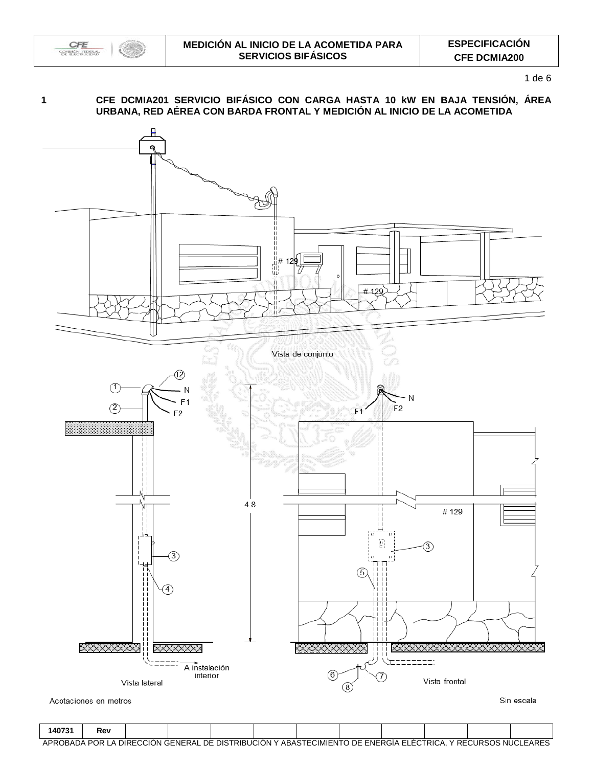

 $1$  de  $6$ 

Sin escala

#### CFE DCMIA201 SERVICIO BIFÁSICO CON CARGA HASTA 10 KW EN BAJA TENSIÓN, ÁREA  $\mathbf{1}$ URBANA, RED AÉREA CON BARDA FRONTAL Y MEDICIÓN AL INICIO DE LA ACOMETIDA



Acotaciones en metros

140731 Rev APROBADA POR LA DIRECCIÓN GENERAL DE DISTRIBUCIÓN Y ABASTECIMIENTO DE ENERGÍA ELÉCTRICA, Y RECURSOS NUCLEARES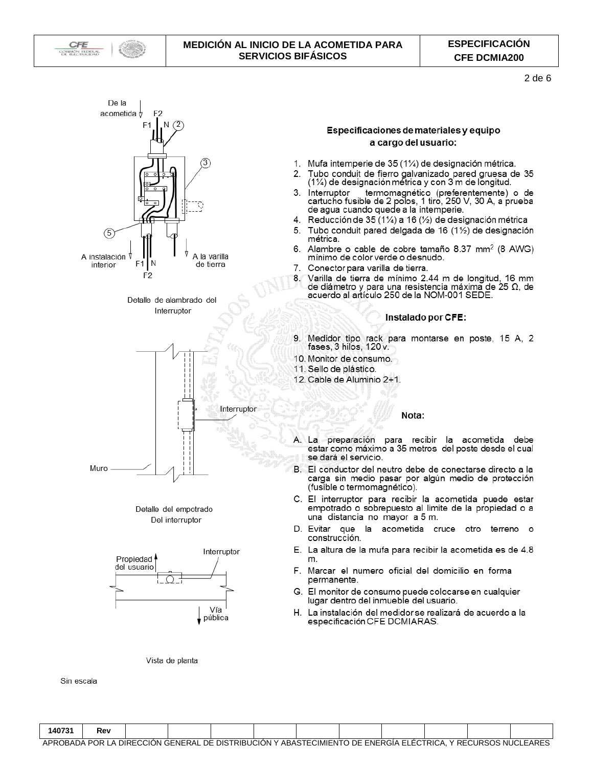

 $2$  de  $6$ 



Sin escala

| 140731                                                                                                                                                                                                                           | Rev |  |  |  |  |  |  |  |  |  |  |
|----------------------------------------------------------------------------------------------------------------------------------------------------------------------------------------------------------------------------------|-----|--|--|--|--|--|--|--|--|--|--|
| APROBADA<br>ECTRICA.<br>NUCLEARES<br>$\sim$ CION $\sim$<br>ECIMIENTO DE ENERGIA<br><b>DIRE</b><br><b>POR</b><br>GENERAL<br>. DE<br><b>CURSOS</b> N<br>∠ DISTRIBUCION Y I<br>ABASTEO<br>RE<br><u>— L</u><br>- 1<br>$\overline{A}$ |     |  |  |  |  |  |  |  |  |  |  |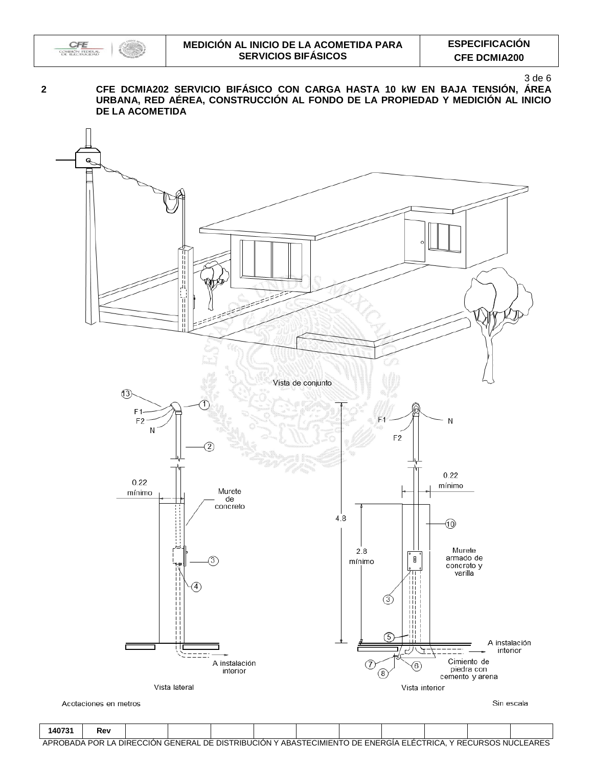

**140731 Rev**

3 de 6

**2 CFE DCMIA202 SERVICIO BIFÁSICO CON CARGA HASTA 10 kW EN BAJA TENSIÓN, ÁREA URBANA, RED AÉREA, CONSTRUCCIÓN AL FONDO DE LA PROPIEDAD Y MEDICIÓN AL INICIO DE LA ACOMETIDA**



APROBADA POR LA DIRECCIÓN GENERAL DE DISTRIBUCIÓN Y ABASTECIMIENTO DE ENERGÍA ELÉCTRICA, Y RECURSOS NUCLEARES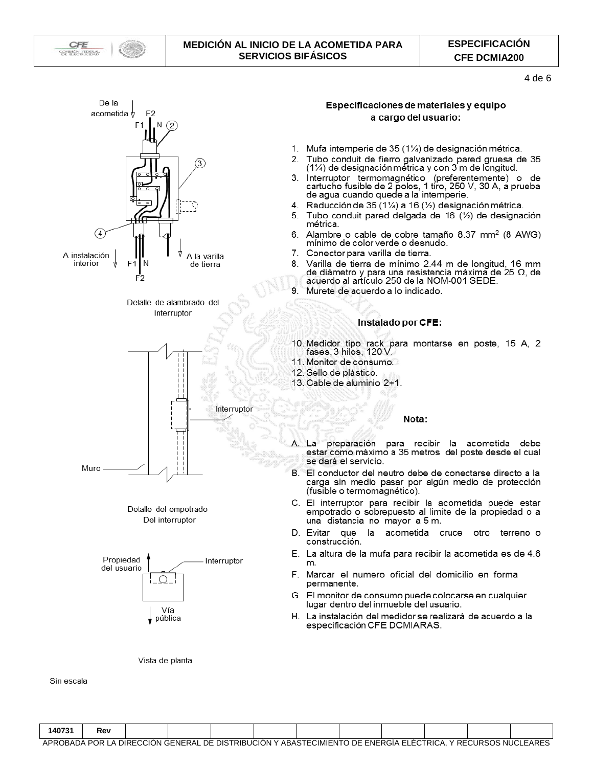

 $4$  de  $6$ 



Vista de planta

Sin escala

| 140731                                                                                                                                                                                                                                                      | Rev |  |  |  |  |  |  |  |  |  |  |
|-------------------------------------------------------------------------------------------------------------------------------------------------------------------------------------------------------------------------------------------------------------|-----|--|--|--|--|--|--|--|--|--|--|
| <b>EARES</b><br>DIRE'<br><b>CIMIENT</b><br>DE<br>. POR<br>DE<br>TRIBUC<br>DIS <sup>-</sup><br><b>ENERGIA EL</b><br>JON.<br>GENERAI<br>RE<br>ABAS<br>`NUCL.<br>OBADA<br>u IR'<br><b>HRICA</b><br>. JON :<br>$\sim$ $\sim$ $\sim$<br>$\overline{\phantom{a}}$ |     |  |  |  |  |  |  |  |  |  |  |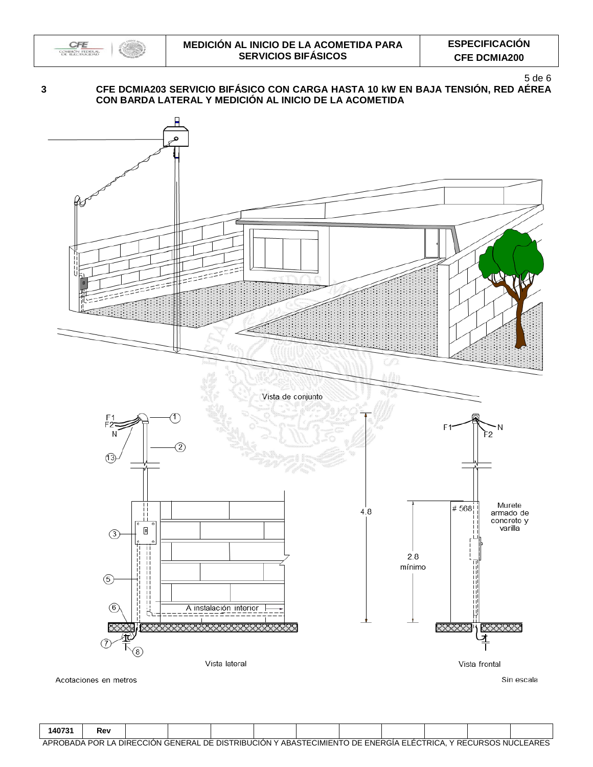

 $\mathbf{3}$ 

5 de 6

# CFE DCMIA203 SERVICIO BIFÁSICO CON CARGA HASTA 10 kW EN BAJA TENSIÓN, RED AÉREA<br>CON BARDA LATERAL Y MEDICIÓN AL INICIO DE LA ACOMETIDA



Acotaciones en metros

| 140731                                                                                                 | Rev |  |  |  |  |  |  |  |  |  |  |
|--------------------------------------------------------------------------------------------------------|-----|--|--|--|--|--|--|--|--|--|--|
| ' ABASTECIMIENTO DE ENERGÍA ELECTRICA.<br>. Y RECURSOS NUCLEARES<br>J FRIBUCION Y<br>POR .<br>APROBADA |     |  |  |  |  |  |  |  |  |  |  |

<u>a masa</u>